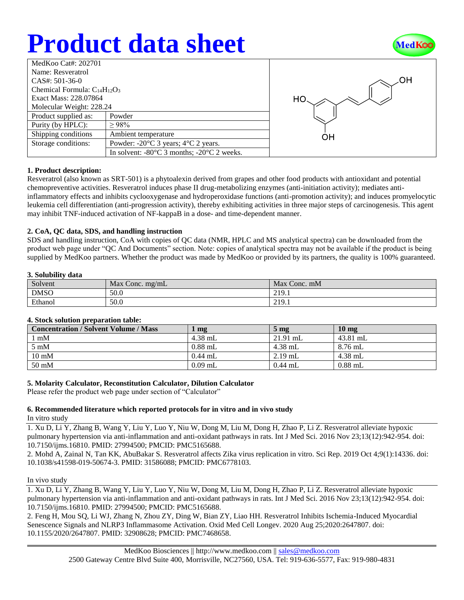# **Product data sheet**



| MedKoo Cat#: 202701                 |                                                                |  |  |
|-------------------------------------|----------------------------------------------------------------|--|--|
| Name: Resveratrol                   |                                                                |  |  |
| $CAS#: 501-36-0$                    |                                                                |  |  |
| Chemical Formula: $C_{14}H_{12}O_3$ |                                                                |  |  |
| Exact Mass: 228.07864               |                                                                |  |  |
| Molecular Weight: 228.24            |                                                                |  |  |
| Product supplied as:                | Powder                                                         |  |  |
| Purity (by HPLC):                   | >98%                                                           |  |  |
| Shipping conditions                 | Ambient temperature                                            |  |  |
| Storage conditions:                 | Powder: $-20^{\circ}$ C 3 years; $4^{\circ}$ C 2 years.        |  |  |
|                                     | In solvent: $-80^{\circ}$ C 3 months; $-20^{\circ}$ C 2 weeks. |  |  |



## **1. Product description:**

Resveratrol (also known as SRT-501) is a phytoalexin derived from grapes and other food products with antioxidant and potential chemopreventive activities. Resveratrol induces phase II drug-metabolizing enzymes (anti-initiation activity); mediates antiinflammatory effects and inhibits cyclooxygenase and hydroperoxidase functions (anti-promotion activity); and induces promyelocytic leukemia cell differentiation (anti-progression activity), thereby exhibiting activities in three major steps of carcinogenesis. This agent may inhibit TNF-induced activation of NF-kappaB in a dose- and time-dependent manner.

### **2. CoA, QC data, SDS, and handling instruction**

SDS and handling instruction, CoA with copies of QC data (NMR, HPLC and MS analytical spectra) can be downloaded from the product web page under "QC And Documents" section. Note: copies of analytical spectra may not be available if the product is being supplied by MedKoo partners. Whether the product was made by MedKoo or provided by its partners, the quality is 100% guaranteed.

## **3. Solubility data**

| Solvent     | Max Conc. $mg/mL$ | Max Conc. mM |
|-------------|-------------------|--------------|
| <b>DMSO</b> | 50.0              | 219.1        |
| Ethanol     | 50.0              | 219.1        |

## **4. Stock solution preparation table:**

| <b>Concentration / Solvent Volume / Mass</b> | mg        | 5 <sub>mg</sub> | $10 \text{ mg}$ |
|----------------------------------------------|-----------|-----------------|-----------------|
| l mM                                         | $4.38$ mL | $21.91$ mL      | 43.81 mL        |
| $5 \text{ mM}$                               | $0.88$ mL | $4.38$ mL       | $8.76$ mL       |
| $10 \text{ mM}$                              | $0.44$ mL | $2.19$ mL       | $4.38$ mL       |
| 50 mM                                        | $0.09$ mL | $0.44$ mL       | $0.88$ mL       |

## **5. Molarity Calculator, Reconstitution Calculator, Dilution Calculator**

Please refer the product web page under section of "Calculator"

### **6. Recommended literature which reported protocols for in vitro and in vivo study** In vitro study

1. Xu D, Li Y, Zhang B, Wang Y, Liu Y, Luo Y, Niu W, Dong M, Liu M, Dong H, Zhao P, Li Z. Resveratrol alleviate hypoxic pulmonary hypertension via anti-inflammation and anti-oxidant pathways in rats. Int J Med Sci. 2016 Nov 23;13(12):942-954. doi: 10.7150/ijms.16810. PMID: 27994500; PMCID: PMC5165688.

2. Mohd A, Zainal N, Tan KK, AbuBakar S. Resveratrol affects Zika virus replication in vitro. Sci Rep. 2019 Oct 4;9(1):14336. doi: 10.1038/s41598-019-50674-3. PMID: 31586088; PMCID: PMC6778103.

#### In vivo study

1. Xu D, Li Y, Zhang B, Wang Y, Liu Y, Luo Y, Niu W, Dong M, Liu M, Dong H, Zhao P, Li Z. Resveratrol alleviate hypoxic pulmonary hypertension via anti-inflammation and anti-oxidant pathways in rats. Int J Med Sci. 2016 Nov 23;13(12):942-954. doi: 10.7150/ijms.16810. PMID: 27994500; PMCID: PMC5165688.

2. Feng H, Mou SQ, Li WJ, Zhang N, Zhou ZY, Ding W, Bian ZY, Liao HH. Resveratrol Inhibits Ischemia-Induced Myocardial Senescence Signals and NLRP3 Inflammasome Activation. Oxid Med Cell Longev. 2020 Aug 25;2020:2647807. doi: 10.1155/2020/2647807. PMID: 32908628; PMCID: PMC7468658.